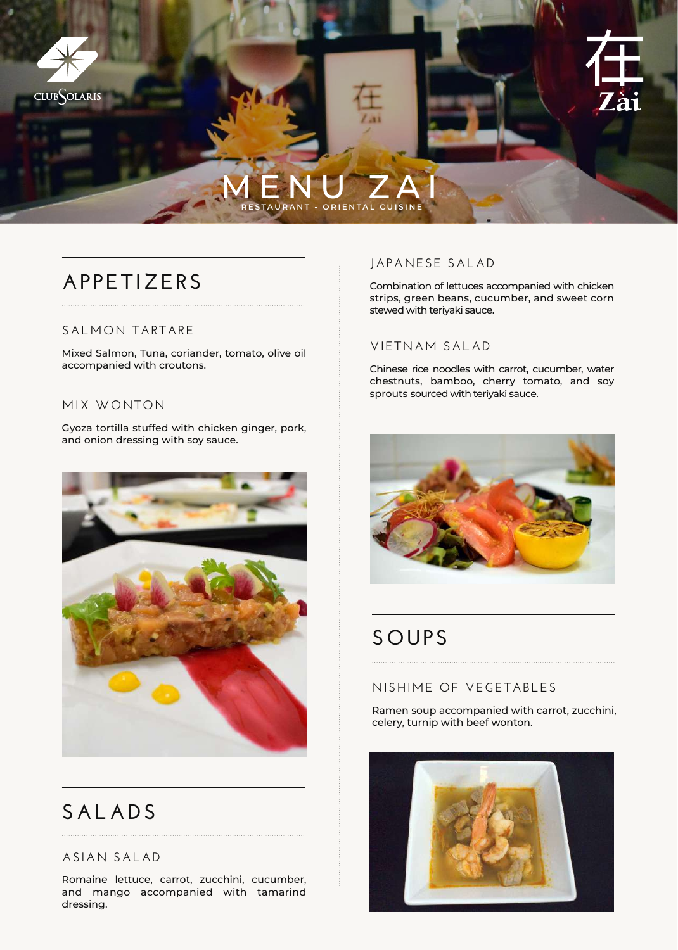

# **APPETIZERS**

### **SALMON TARTARE**

Mixed Salmon, Tuna, coriander, tomato, olive oil accompanied with croutons.

#### **MIX WONTON**

Gyoza tortilla stuffed with chicken ginger, pork, and onion dressing with soy sauce.



# **SALADS**

### **ASIAN SALAD**

Romaine lettuce, carrot, zucchini, cucumber, and mango accompanied with tamarind dressing.

### **JAPANESE SALAD**

Combination of lettuces accompanied with chicken strips, green beans, cucumber, and sweet corn stewed with teriyaki sauce.

### **VIETNAM SALAD**

Chinese rice noodles with carrot, cucumber, water chestnuts, bamboo, cherry tomato, and soy sprouts sourced with teriyaki sauce.



# **SOUPS**

### **NISHIME OF VEGETABLES**

Ramen soup accompanied with carrot, zucchini, celery, turnip with beef wonton.